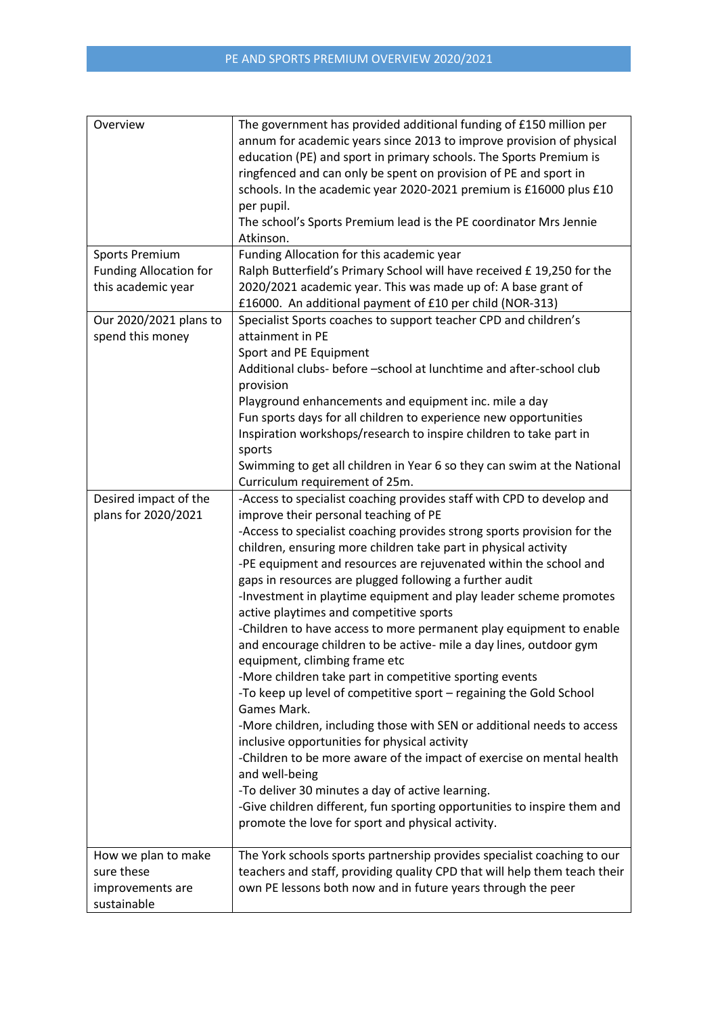| Overview                                                                     | The government has provided additional funding of £150 million per<br>annum for academic years since 2013 to improve provision of physical<br>education (PE) and sport in primary schools. The Sports Premium is<br>ringfenced and can only be spent on provision of PE and sport in<br>schools. In the academic year 2020-2021 premium is £16000 plus £10<br>per pupil.<br>The school's Sports Premium lead is the PE coordinator Mrs Jennie<br>Atkinson.                                                                                                                                                                                                                                                                                                                                                                                                                                                                                                                                                                                                                                                                                                                                                                                            |
|------------------------------------------------------------------------------|-------------------------------------------------------------------------------------------------------------------------------------------------------------------------------------------------------------------------------------------------------------------------------------------------------------------------------------------------------------------------------------------------------------------------------------------------------------------------------------------------------------------------------------------------------------------------------------------------------------------------------------------------------------------------------------------------------------------------------------------------------------------------------------------------------------------------------------------------------------------------------------------------------------------------------------------------------------------------------------------------------------------------------------------------------------------------------------------------------------------------------------------------------------------------------------------------------------------------------------------------------|
| <b>Sports Premium</b><br><b>Funding Allocation for</b><br>this academic year | Funding Allocation for this academic year<br>Ralph Butterfield's Primary School will have received £19,250 for the<br>2020/2021 academic year. This was made up of: A base grant of<br>£16000. An additional payment of £10 per child (NOR-313)                                                                                                                                                                                                                                                                                                                                                                                                                                                                                                                                                                                                                                                                                                                                                                                                                                                                                                                                                                                                       |
| Our 2020/2021 plans to<br>spend this money                                   | Specialist Sports coaches to support teacher CPD and children's<br>attainment in PE<br>Sport and PE Equipment<br>Additional clubs- before -school at lunchtime and after-school club<br>provision<br>Playground enhancements and equipment inc. mile a day<br>Fun sports days for all children to experience new opportunities<br>Inspiration workshops/research to inspire children to take part in<br>sports<br>Swimming to get all children in Year 6 so they can swim at the National<br>Curriculum requirement of 25m.                                                                                                                                                                                                                                                                                                                                                                                                                                                                                                                                                                                                                                                                                                                           |
| Desired impact of the<br>plans for 2020/2021                                 | -Access to specialist coaching provides staff with CPD to develop and<br>improve their personal teaching of PE<br>-Access to specialist coaching provides strong sports provision for the<br>children, ensuring more children take part in physical activity<br>-PE equipment and resources are rejuvenated within the school and<br>gaps in resources are plugged following a further audit<br>-Investment in playtime equipment and play leader scheme promotes<br>active playtimes and competitive sports<br>-Children to have access to more permanent play equipment to enable<br>and encourage children to be active- mile a day lines, outdoor gym<br>equipment, climbing frame etc<br>-More children take part in competitive sporting events<br>-To keep up level of competitive sport - regaining the Gold School<br>Games Mark.<br>-More children, including those with SEN or additional needs to access<br>inclusive opportunities for physical activity<br>-Children to be more aware of the impact of exercise on mental health<br>and well-being<br>-To deliver 30 minutes a day of active learning.<br>-Give children different, fun sporting opportunities to inspire them and<br>promote the love for sport and physical activity. |
| How we plan to make<br>sure these<br>improvements are<br>sustainable         | The York schools sports partnership provides specialist coaching to our<br>teachers and staff, providing quality CPD that will help them teach their<br>own PE lessons both now and in future years through the peer                                                                                                                                                                                                                                                                                                                                                                                                                                                                                                                                                                                                                                                                                                                                                                                                                                                                                                                                                                                                                                  |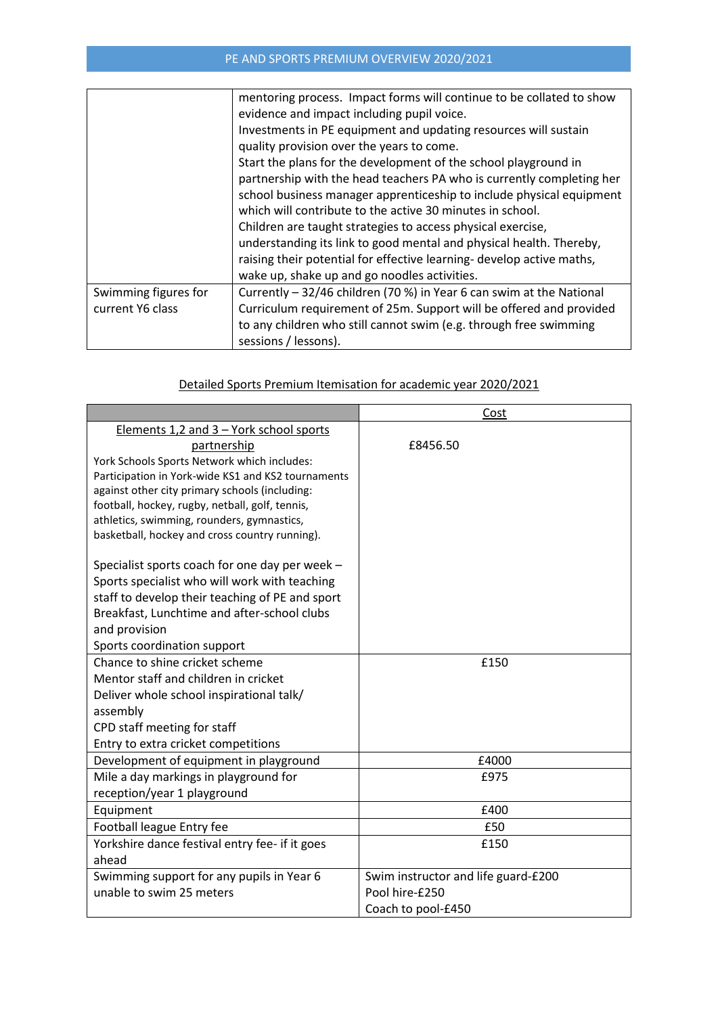|                      | mentoring process. Impact forms will continue to be collated to show  |  |  |
|----------------------|-----------------------------------------------------------------------|--|--|
|                      | evidence and impact including pupil voice.                            |  |  |
|                      | Investments in PE equipment and updating resources will sustain       |  |  |
|                      | quality provision over the years to come.                             |  |  |
|                      | Start the plans for the development of the school playground in       |  |  |
|                      | partnership with the head teachers PA who is currently completing her |  |  |
|                      | school business manager apprenticeship to include physical equipment  |  |  |
|                      | which will contribute to the active 30 minutes in school.             |  |  |
|                      | Children are taught strategies to access physical exercise,           |  |  |
|                      | understanding its link to good mental and physical health. Thereby,   |  |  |
|                      | raising their potential for effective learning- develop active maths, |  |  |
|                      | wake up, shake up and go noodles activities.                          |  |  |
| Swimming figures for | Currently - 32/46 children (70 %) in Year 6 can swim at the National  |  |  |
| current Y6 class     | Curriculum requirement of 25m. Support will be offered and provided   |  |  |
|                      | to any children who still cannot swim (e.g. through free swimming     |  |  |
|                      | sessions / lessons).                                                  |  |  |

## Detailed Sports Premium Itemisation for academic year 2020/2021

|                                                    | Cost                                |
|----------------------------------------------------|-------------------------------------|
| Elements 1,2 and 3 – York school sports            |                                     |
| partnership                                        | £8456.50                            |
| York Schools Sports Network which includes:        |                                     |
| Participation in York-wide KS1 and KS2 tournaments |                                     |
| against other city primary schools (including:     |                                     |
| football, hockey, rugby, netball, golf, tennis,    |                                     |
| athletics, swimming, rounders, gymnastics,         |                                     |
| basketball, hockey and cross country running).     |                                     |
| Specialist sports coach for one day per week -     |                                     |
| Sports specialist who will work with teaching      |                                     |
| staff to develop their teaching of PE and sport    |                                     |
| Breakfast, Lunchtime and after-school clubs        |                                     |
| and provision                                      |                                     |
| Sports coordination support                        |                                     |
| Chance to shine cricket scheme                     | £150                                |
| Mentor staff and children in cricket               |                                     |
| Deliver whole school inspirational talk/           |                                     |
| assembly                                           |                                     |
| CPD staff meeting for staff                        |                                     |
| Entry to extra cricket competitions                |                                     |
| Development of equipment in playground             | £4000                               |
| Mile a day markings in playground for              | £975                                |
| reception/year 1 playground                        |                                     |
| Equipment                                          | £400                                |
| Football league Entry fee                          | £50                                 |
| Yorkshire dance festival entry fee- if it goes     | £150                                |
| ahead                                              |                                     |
| Swimming support for any pupils in Year 6          | Swim instructor and life guard-£200 |
| unable to swim 25 meters                           | Pool hire-£250                      |
|                                                    | Coach to pool-£450                  |